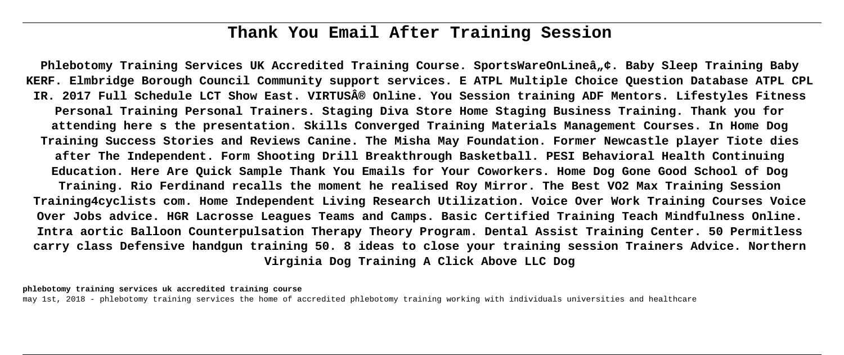# **Thank You Email After Training Session**

Phlebotomy Training Services UK Accredited Training Course. SportsWareOnLineâ"¢. Baby Sleep Training Baby **KERF. Elmbridge Borough Council Community support services. E ATPL Multiple Choice Question Database ATPL CPL IR. 2017 Full Schedule LCT Show East. VIRTUS® Online. You Session training ADF Mentors. Lifestyles Fitness Personal Training Personal Trainers. Staging Diva Store Home Staging Business Training. Thank you for attending here s the presentation. Skills Converged Training Materials Management Courses. In Home Dog Training Success Stories and Reviews Canine. The Misha May Foundation. Former Newcastle player Tiote dies after The Independent. Form Shooting Drill Breakthrough Basketball. PESI Behavioral Health Continuing Education. Here Are Quick Sample Thank You Emails for Your Coworkers. Home Dog Gone Good School of Dog Training. Rio Ferdinand recalls the moment he realised Roy Mirror. The Best VO2 Max Training Session Training4cyclists com. Home Independent Living Research Utilization. Voice Over Work Training Courses Voice Over Jobs advice. HGR Lacrosse Leagues Teams and Camps. Basic Certified Training Teach Mindfulness Online. Intra aortic Balloon Counterpulsation Therapy Theory Program. Dental Assist Training Center. 50 Permitless carry class Defensive handgun training 50. 8 ideas to close your training session Trainers Advice. Northern Virginia Dog Training A Click Above LLC Dog**

**phlebotomy training services uk accredited training course**

may 1st, 2018 - phlebotomy training services the home of accredited phlebotomy training working with individuals universities and healthcare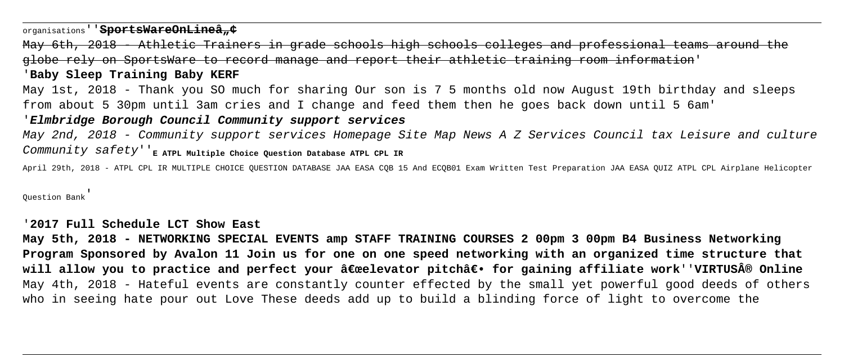organisations<sup>''</sup>SportsWareOnLineâ...

Athletic Trainers in grade schools high schools colleges and professional globe rely on SportsWare to record manage and report their athletic training room information'

'**Baby Sleep Training Baby KERF**

May 1st, 2018 - Thank you SO much for sharing Our son is 7 5 months old now August 19th birthday and sleeps from about 5 30pm until 3am cries and I change and feed them then he goes back down until 5 6am'

# '**Elmbridge Borough Council Community support services**

May 2nd, 2018 - Community support services Homepage Site Map News A Z Services Council tax Leisure and culture COMMUNIty Safety'<sup>'</sup><sub>E</sub> ATPL Multiple Choice Question Database ATPL CPL IR

April 29th, 2018 - ATPL CPL IR MULTIPLE CHOICE QUESTION DATABASE JAA EASA CQB 15 And ECQB01 Exam Written Test Preparation JAA EASA QUIZ ATPL CPL Airplane Helicopter

Question Bank'

'**2017 Full Schedule LCT Show East**

**May 5th, 2018 - NETWORKING SPECIAL EVENTS amp STAFF TRAINING COURSES 2 00pm 3 00pm B4 Business Networking Program Sponsored by Avalon 11 Join us for one on one speed networking with an organized time structure that will allow you to practice and perfect your "elevator pitch― for gaining affiliate work''VIRTUS® Online** May 4th, 2018 - Hateful events are constantly counter effected by the small yet powerful good deeds of others who in seeing hate pour out Love These deeds add up to build a blinding force of light to overcome the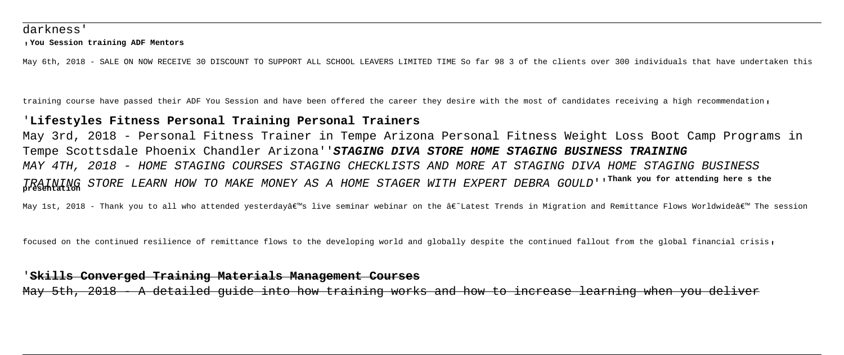### darkness'

#### '**You Session training ADF Mentors**

May 6th, 2018 - SALE ON NOW RECEIVE 30 DISCOUNT TO SUPPORT ALL SCHOOL LEAVERS LIMITED TIME So far 98 3 of the clients over 300 individuals that have undertaken this

training course have passed their ADF You Session and have been offered the career they desire with the most of candidates receiving a high recommendation,

# '**Lifestyles Fitness Personal Training Personal Trainers**

May 3rd, 2018 - Personal Fitness Trainer in Tempe Arizona Personal Fitness Weight Loss Boot Camp Programs in Tempe Scottsdale Phoenix Chandler Arizona''**STAGING DIVA STORE HOME STAGING BUSINESS TRAINING** MAY 4TH, 2018 - HOME STAGING COURSES STAGING CHECKLISTS AND MORE AT STAGING DIVA HOME STAGING BUSINESS TRAINING STORE LEARN HOW TO MAKE MONEY AS A HOME STAGER WITH EXPERT DEBRA GOULD''**Thank you for attending here s the presentation**

May 1st, 2018 - Thank you to all who attended yesterday's live seminar webinar on the â€~Latest Trends in Migration and Remittance Flows Worldwide' The session

focused on the continued resilience of remittance flows to the developing world and globally despite the continued fallout from the global financial crisis,

## '**Skills Converged Training Materials Management Courses**

5th, 2018 - A detailed guide into how training works and how to increase learning when you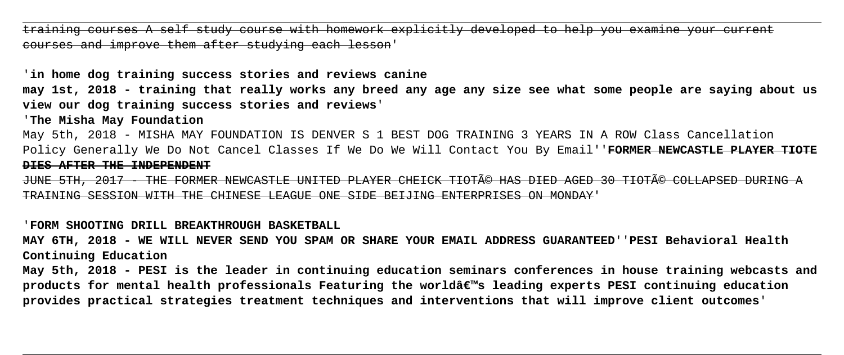training courses A self study course with homework explicitly developed to help you examine your current courses and improve them after studying each lesson'

'**in home dog training success stories and reviews canine**

**may 1st, 2018 - training that really works any breed any age any size see what some people are saying about us view our dog training success stories and reviews**'

'**The Misha May Foundation**

May 5th, 2018 - MISHA MAY FOUNDATION IS DENVER S 1 BEST DOG TRAINING 3 YEARS IN A ROW Class Cancellation Policy Generally We Do Not Cancel Classes If We Do We Will Contact You By Email''**FORMER NEWCASTLE PLAYER TIOTE DIES AFTER THE INDEPENDENT**

JUNE 5TH, 2017 - THE FORMER NEWCASTLE UNITED PLAYER CHEICK TIOTé HAS DIED AGED 30 TIOTé COLLAPSED DURING TRAINING SESSION WITH THE CHINESE LEAGUE ONE SIDE BEIJING ENTERPRISES ON MONDAY'

'**FORM SHOOTING DRILL BREAKTHROUGH BASKETBALL**

**MAY 6TH, 2018 - WE WILL NEVER SEND YOU SPAM OR SHARE YOUR EMAIL ADDRESS GUARANTEED**''**PESI Behavioral Health Continuing Education**

**May 5th, 2018 - PESI is the leader in continuing education seminars conferences in house training webcasts and products for mental health professionals Featuring the world's leading experts PESI continuing education provides practical strategies treatment techniques and interventions that will improve client outcomes**'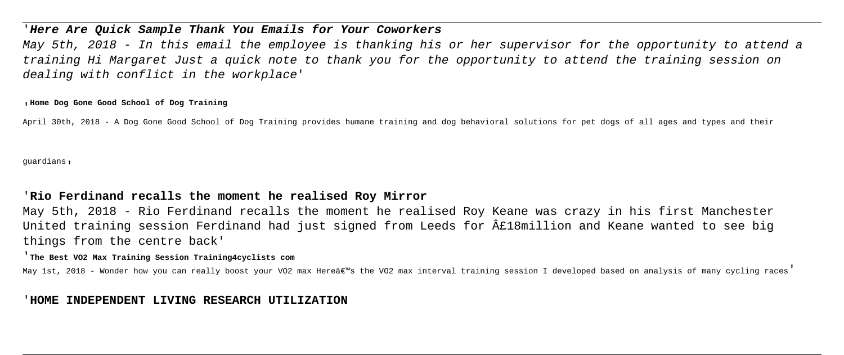# '**Here Are Quick Sample Thank You Emails for Your Coworkers**

May 5th, 2018 - In this email the employee is thanking his or her supervisor for the opportunity to attend a training Hi Margaret Just a quick note to thank you for the opportunity to attend the training session on dealing with conflict in the workplace'

#### '**Home Dog Gone Good School of Dog Training**

April 30th, 2018 - A Dog Gone Good School of Dog Training provides humane training and dog behavioral solutions for pet dogs of all ages and types and their

guardians'

# '**Rio Ferdinand recalls the moment he realised Roy Mirror**

May 5th, 2018 - Rio Ferdinand recalls the moment he realised Roy Keane was crazy in his first Manchester United training session Ferdinand had just signed from Leeds for £18million and Keane wanted to see big things from the centre back'

#### '**The Best VO2 Max Training Session Training4cyclists com**

May 1st, 2018 - Wonder how you can really boost your VO2 max Here's the VO2 max interval training session I developed based on analysis of many cycling races'

# '**HOME INDEPENDENT LIVING RESEARCH UTILIZATION**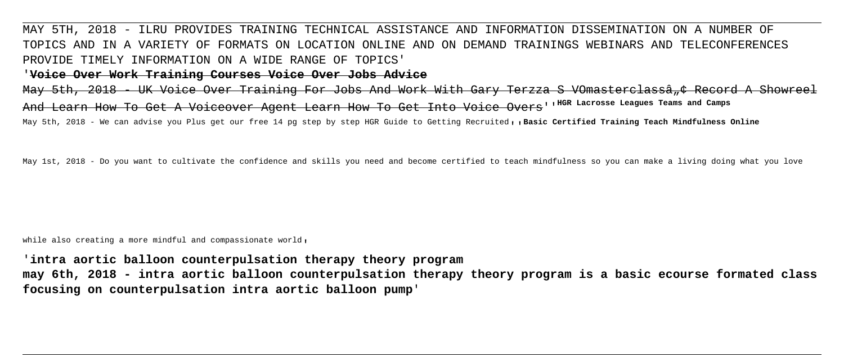# MAY 5TH, 2018 - ILRU PROVIDES TRAINING TECHNICAL ASSISTANCE AND INFORMATION DISSEMINATION ON A NUMBER OF TOPICS AND IN A VARIETY OF FORMATS ON LOCATION ONLINE AND ON DEMAND TRAININGS WEBINARS AND TELECONFERENCES PROVIDE TIMELY INFORMATION ON A WIDE RANGE OF TOPICS'

## '**Voice Over Work Training Courses Voice Over Jobs Advice**

May 5th, 2018 - UK Voice Over Training For Jobs And Work With Gary Terzza S VOmasterclassâ + Record A And Learn How To Get A Voiceover Agent Learn How To Get Into Voice Overs''**HGR Lacrosse Leagues Teams and Camps**

May 5th, 2018 - We can advise you Plus get our free 14 pg step by step HGR Guide to Getting Recruited, , Basic Certified Training Teach Mindfulness Online

May 1st, 2018 - Do you want to cultivate the confidence and skills you need and become certified to teach mindfulness so you can make a living doing what you love

while also creating a more mindful and compassionate world,

'**intra aortic balloon counterpulsation therapy theory program may 6th, 2018 - intra aortic balloon counterpulsation therapy theory program is a basic ecourse formated class focusing on counterpulsation intra aortic balloon pump**'